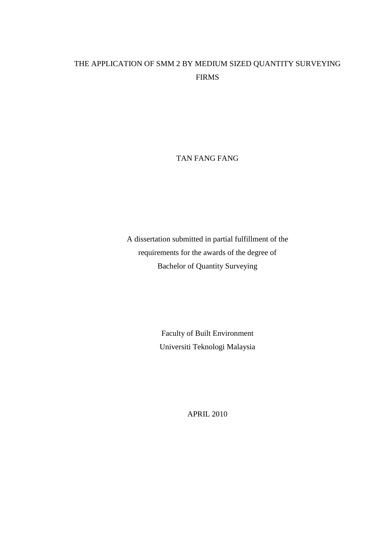## THE APPLICATION OF SMM 2 BY MEDIUM SIZED QUANTITY SURVEYING FIRMS

TAN FANG FANG

A dissertation submitted in partial fulfillment of the requirements for the awards of the degree of Bachelor of Quantity Surveying

> Faculty of Built Environment Universiti Teknologi Malaysia

> > APRIL 2010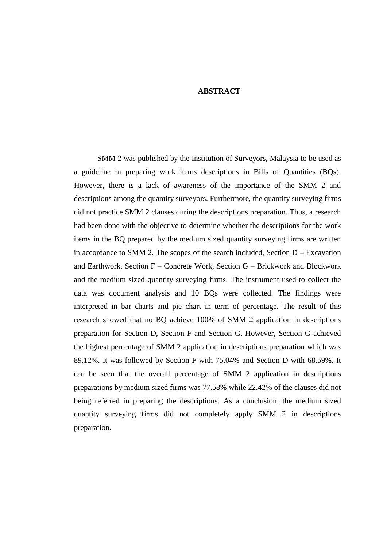## **ABSTRACT**

SMM 2 was published by the Institution of Surveyors, Malaysia to be used as a guideline in preparing work items descriptions in Bills of Quantities (BQs). However, there is a lack of awareness of the importance of the SMM 2 and descriptions among the quantity surveyors. Furthermore, the quantity surveying firms did not practice SMM 2 clauses during the descriptions preparation. Thus, a research had been done with the objective to determine whether the descriptions for the work items in the BQ prepared by the medium sized quantity surveying firms are written in accordance to SMM 2. The scopes of the search included, Section  $D - Exc$ avation and Earthwork, Section F – Concrete Work, Section G – Brickwork and Blockwork and the medium sized quantity surveying firms. The instrument used to collect the data was document analysis and 10 BQs were collected. The findings were interpreted in bar charts and pie chart in term of percentage. The result of this research showed that no BQ achieve 100% of SMM 2 application in descriptions preparation for Section D, Section F and Section G. However, Section G achieved the highest percentage of SMM 2 application in descriptions preparation which was 89.12%. It was followed by Section F with 75.04% and Section D with 68.59%. It can be seen that the overall percentage of SMM 2 application in descriptions preparations by medium sized firms was 77.58% while 22.42% of the clauses did not being referred in preparing the descriptions. As a conclusion, the medium sized quantity surveying firms did not completely apply SMM 2 in descriptions preparation.